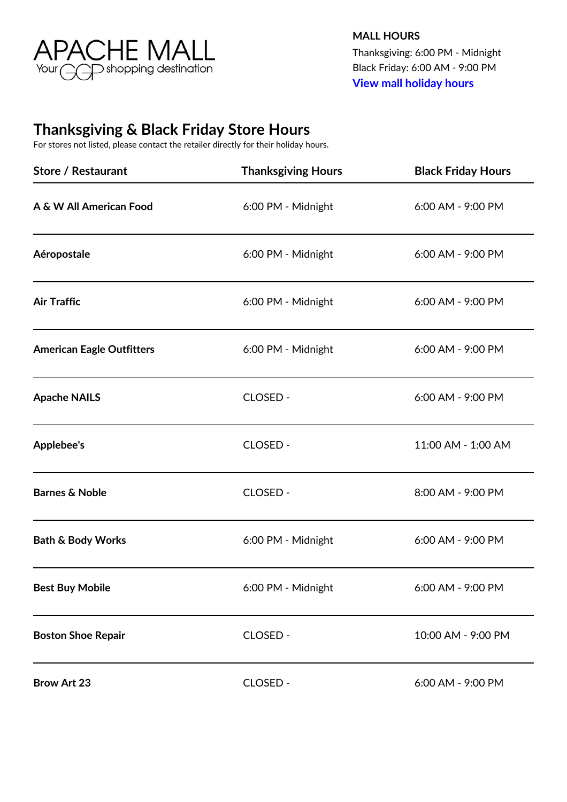

**MALL HOURS** Thanksgiving: 6:00 PM - Midnight Black Friday: 6:00 AM - 9:00 PM **[View mall holiday hours](http://www.apachemall.com/en/visit/holiday-hours.html)**

## **Thanksgiving & Black Friday Store Hours**

For stores not listed, please contact the retailer directly for their holiday hours.

| <b>Store / Restaurant</b>        | <b>Thanksgiving Hours</b> | <b>Black Friday Hours</b> |
|----------------------------------|---------------------------|---------------------------|
| A & W All American Food          | 6:00 PM - Midnight        | 6:00 AM - 9:00 PM         |
| Aéropostale                      | 6:00 PM - Midnight        | 6:00 AM - 9:00 PM         |
| <b>Air Traffic</b>               | 6:00 PM - Midnight        | 6:00 AM - 9:00 PM         |
| <b>American Eagle Outfitters</b> | 6:00 PM - Midnight        | 6:00 AM - 9:00 PM         |
| <b>Apache NAILS</b>              | CLOSED -                  | 6:00 AM - 9:00 PM         |
| <b>Applebee's</b>                | CLOSED -                  | 11:00 AM - 1:00 AM        |
| <b>Barnes &amp; Noble</b>        | CLOSED -                  | 8:00 AM - 9:00 PM         |
| <b>Bath &amp; Body Works</b>     | 6:00 PM - Midnight        | 6:00 AM - 9:00 PM         |
| <b>Best Buy Mobile</b>           | 6:00 PM - Midnight        | 6:00 AM - 9:00 PM         |
| <b>Boston Shoe Repair</b>        | CLOSED -                  | 10:00 AM - 9:00 PM        |
| <b>Brow Art 23</b>               | CLOSED -                  | 6:00 AM - 9:00 PM         |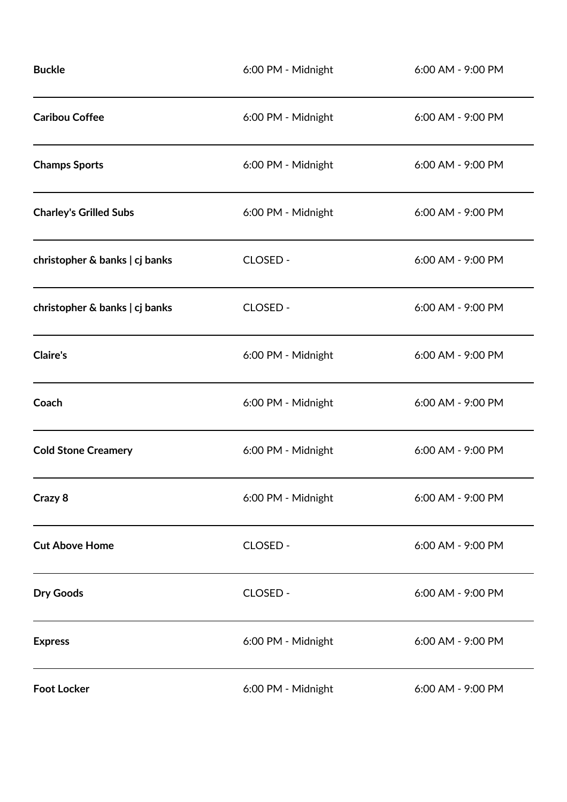| <b>Buckle</b>                  | 6:00 PM - Midnight | 6:00 AM - 9:00 PM |
|--------------------------------|--------------------|-------------------|
| <b>Caribou Coffee</b>          | 6:00 PM - Midnight | 6:00 AM - 9:00 PM |
| <b>Champs Sports</b>           | 6:00 PM - Midnight | 6:00 AM - 9:00 PM |
| <b>Charley's Grilled Subs</b>  | 6:00 PM - Midnight | 6:00 AM - 9:00 PM |
| christopher & banks   cj banks | CLOSED -           | 6:00 AM - 9:00 PM |
| christopher & banks   cj banks | CLOSED -           | 6:00 AM - 9:00 PM |
| <b>Claire's</b>                | 6:00 PM - Midnight | 6:00 AM - 9:00 PM |
| Coach                          | 6:00 PM - Midnight | 6:00 AM - 9:00 PM |
| <b>Cold Stone Creamery</b>     | 6:00 PM - Midnight | 6:00 AM - 9:00 PM |
| Crazy 8                        | 6:00 PM - Midnight | 6:00 AM - 9:00 PM |
| <b>Cut Above Home</b>          | CLOSED -           | 6:00 AM - 9:00 PM |
| <b>Dry Goods</b>               | CLOSED -           | 6:00 AM - 9:00 PM |
| <b>Express</b>                 | 6:00 PM - Midnight | 6:00 AM - 9:00 PM |
| <b>Foot Locker</b>             | 6:00 PM - Midnight | 6:00 AM - 9:00 PM |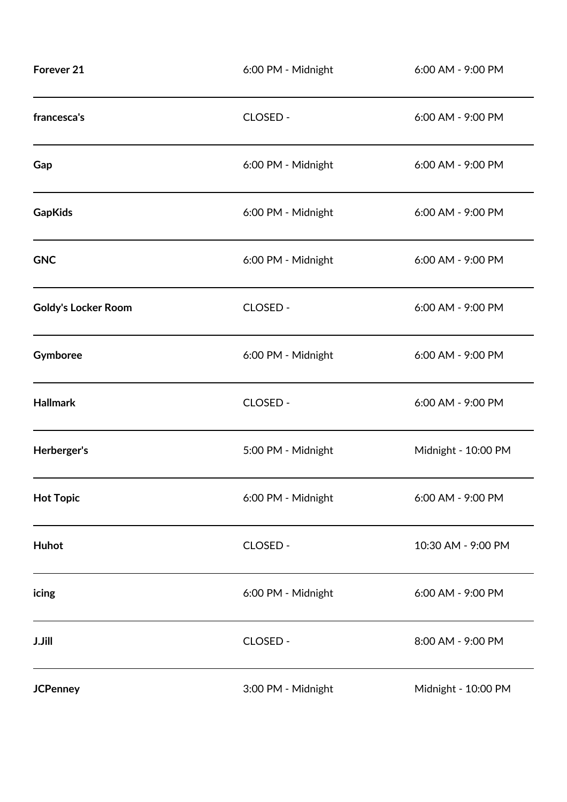| Forever <sub>21</sub>      | 6:00 PM - Midnight | 6:00 AM - 9:00 PM   |
|----------------------------|--------------------|---------------------|
| francesca's                | CLOSED -           | 6:00 AM - 9:00 PM   |
| Gap                        | 6:00 PM - Midnight | 6:00 AM - 9:00 PM   |
| <b>GapKids</b>             | 6:00 PM - Midnight | 6:00 AM - 9:00 PM   |
| <b>GNC</b>                 | 6:00 PM - Midnight | 6:00 AM - 9:00 PM   |
| <b>Goldy's Locker Room</b> | CLOSED -           | 6:00 AM - 9:00 PM   |
| Gymboree                   | 6:00 PM - Midnight | 6:00 AM - 9:00 PM   |
| <b>Hallmark</b>            | CLOSED -           | 6:00 AM - 9:00 PM   |
| Herberger's                | 5:00 PM - Midnight | Midnight - 10:00 PM |
| <b>Hot Topic</b>           | 6:00 PM - Midnight | 6:00 AM - 9:00 PM   |
| Huhot                      | CLOSED -           | 10:30 AM - 9:00 PM  |
| icing                      | 6:00 PM - Midnight | 6:00 AM - 9:00 PM   |
| <b>J.Jill</b>              | CLOSED -           | 8:00 AM - 9:00 PM   |
| <b>JCPenney</b>            | 3:00 PM - Midnight | Midnight - 10:00 PM |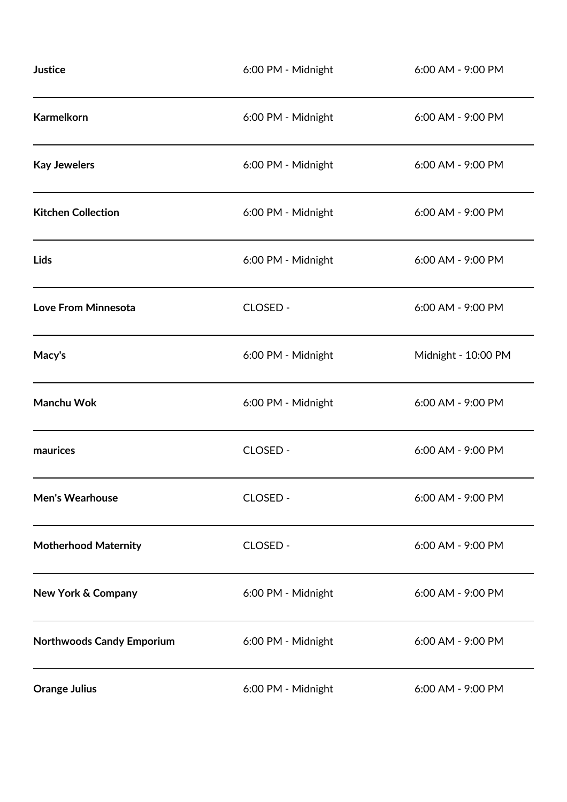| Justice                          | 6:00 PM - Midnight | 6:00 AM - 9:00 PM   |
|----------------------------------|--------------------|---------------------|
| <b>Karmelkorn</b>                | 6:00 PM - Midnight | 6:00 AM - 9:00 PM   |
| <b>Kay Jewelers</b>              | 6:00 PM - Midnight | 6:00 AM - 9:00 PM   |
| <b>Kitchen Collection</b>        | 6:00 PM - Midnight | 6:00 AM - 9:00 PM   |
| <b>Lids</b>                      | 6:00 PM - Midnight | 6:00 AM - 9:00 PM   |
| Love From Minnesota              | CLOSED -           | 6:00 AM - 9:00 PM   |
| Macy's                           | 6:00 PM - Midnight | Midnight - 10:00 PM |
| Manchu Wok                       | 6:00 PM - Midnight | 6:00 AM - 9:00 PM   |
| maurices                         | CLOSED -           | 6:00 AM - 9:00 PM   |
| <b>Men's Wearhouse</b>           | CLOSED -           | 6:00 AM - 9:00 PM   |
| <b>Motherhood Maternity</b>      | CLOSED -           | 6:00 AM - 9:00 PM   |
| <b>New York &amp; Company</b>    | 6:00 PM - Midnight | 6:00 AM - 9:00 PM   |
| <b>Northwoods Candy Emporium</b> | 6:00 PM - Midnight | 6:00 AM - 9:00 PM   |
| <b>Orange Julius</b>             | 6:00 PM - Midnight | 6:00 AM - 9:00 PM   |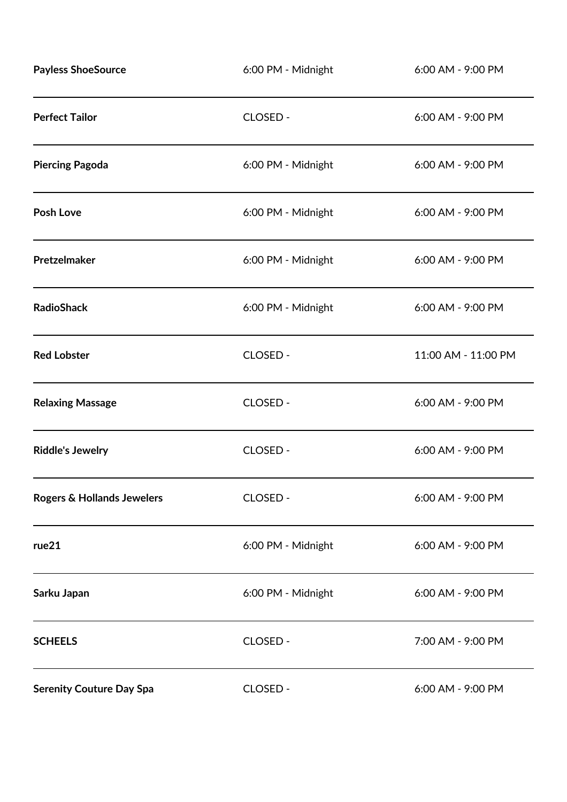| <b>Payless ShoeSource</b>       | 6:00 PM - Midnight | 6:00 AM - 9:00 PM   |
|---------------------------------|--------------------|---------------------|
| <b>Perfect Tailor</b>           | CLOSED -           | 6:00 AM - 9:00 PM   |
| <b>Piercing Pagoda</b>          | 6:00 PM - Midnight | 6:00 AM - 9:00 PM   |
| Posh Love                       | 6:00 PM - Midnight | 6:00 AM - 9:00 PM   |
| Pretzelmaker                    | 6:00 PM - Midnight | 6:00 AM - 9:00 PM   |
| <b>RadioShack</b>               | 6:00 PM - Midnight | 6:00 AM - 9:00 PM   |
| <b>Red Lobster</b>              | CLOSED -           | 11:00 AM - 11:00 PM |
| <b>Relaxing Massage</b>         | CLOSED -           | 6:00 AM - 9:00 PM   |
| <b>Riddle's Jewelry</b>         | CLOSED -           | 6:00 AM - 9:00 PM   |
| Rogers & Hollands Jewelers      | CLOSED -           | 6:00 AM - 9:00 PM   |
| rue21                           | 6:00 PM - Midnight | 6:00 AM - 9:00 PM   |
| Sarku Japan                     | 6:00 PM - Midnight | 6:00 AM - 9:00 PM   |
| <b>SCHEELS</b>                  | CLOSED -           | 7:00 AM - 9:00 PM   |
| <b>Serenity Couture Day Spa</b> | CLOSED -           | 6:00 AM - 9:00 PM   |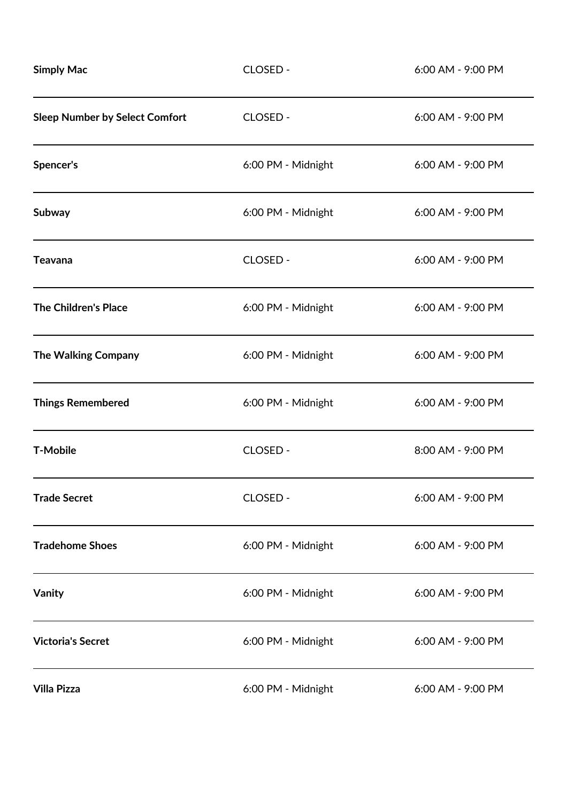| <b>Simply Mac</b>                     | CLOSED -           | 6:00 AM - 9:00 PM |
|---------------------------------------|--------------------|-------------------|
| <b>Sleep Number by Select Comfort</b> | CLOSED -           | 6:00 AM - 9:00 PM |
| Spencer's                             | 6:00 PM - Midnight | 6:00 AM - 9:00 PM |
| <b>Subway</b>                         | 6:00 PM - Midnight | 6:00 AM - 9:00 PM |
| <b>Teavana</b>                        | CLOSED -           | 6:00 AM - 9:00 PM |
| <b>The Children's Place</b>           | 6:00 PM - Midnight | 6:00 AM - 9:00 PM |
| The Walking Company                   | 6:00 PM - Midnight | 6:00 AM - 9:00 PM |
| <b>Things Remembered</b>              | 6:00 PM - Midnight | 6:00 AM - 9:00 PM |
| <b>T-Mobile</b>                       | CLOSED -           | 8:00 AM - 9:00 PM |
| <b>Trade Secret</b>                   | CLOSED -           | 6:00 AM - 9:00 PM |
| <b>Tradehome Shoes</b>                | 6:00 PM - Midnight | 6:00 AM - 9:00 PM |
| Vanity                                | 6:00 PM - Midnight | 6:00 AM - 9:00 PM |
| <b>Victoria's Secret</b>              | 6:00 PM - Midnight | 6:00 AM - 9:00 PM |
| <b>Villa Pizza</b>                    | 6:00 PM - Midnight | 6:00 AM - 9:00 PM |